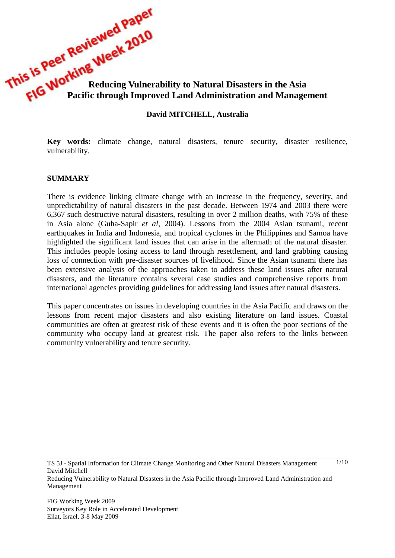**This is Peer Working Week 2022**<br>**Reducing Vulnerability to Natural Disasters in the Asia Pacific through Improved Land Administration Pacific through Improved Land Administration and Management**

#### **David MITCHELL, Australia**

**Key words:** climate change, natural disasters, tenure security, disaster resilience, vulnerability.

#### **SUMMARY**

There is evidence linking climate change with an increase in the frequency, severity, and unpredictability of natural disasters in the past decade. Between 1974 and 2003 there were 6,367 such destructive natural disasters, resulting in over 2 million deaths, with 75% of these in Asia alone (Guha-Sapir *et al*, 2004). Lessons from the 2004 Asian tsunami, recent earthquakes in India and Indonesia, and tropical cyclones in the Philippines and Samoa have highlighted the significant land issues that can arise in the aftermath of the natural disaster. This includes people losing access to land through resettlement, and land grabbing causing loss of connection with pre-disaster sources of livelihood. Since the Asian tsunami there has been extensive analysis of the approaches taken to address these land issues after natural disasters, and the literature contains several case studies and comprehensive reports from international agencies providing guidelines for addressing land issues after natural disasters.

This paper concentrates on issues in developing countries in the Asia Pacific and draws on the lessons from recent major disasters and also existing literature on land issues. Coastal communities are often at greatest risk of these events and it is often the poor sections of the community who occupy land at greatest risk. The paper also refers to the links between community vulnerability and tenure security.

TS 5J - Spatial Information for Climate Change Monitoring and Other Natural Disasters Management David Mitchell

 $1/10$ 

Reducing Vulnerability to Natural Disasters in the Asia Pacific through Improved Land Administration and Management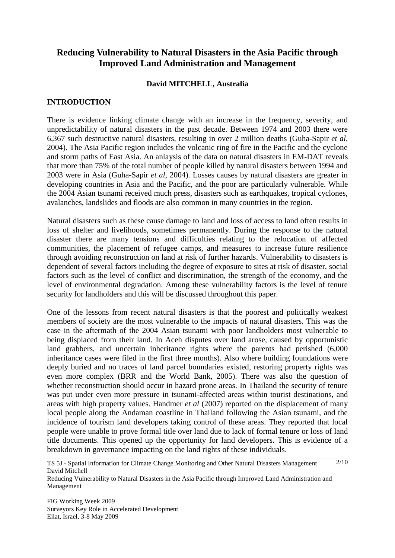# **Reducing Vulnerability to Natural Disasters in the Asia Pacific through Improved Land Administration and Management**

### **David MITCHELL, Australia**

# **INTRODUCTION**

There is evidence linking climate change with an increase in the frequency, severity, and unpredictability of natural disasters in the past decade. Between 1974 and 2003 there were 6,367 such destructive natural disasters, resulting in over 2 million deaths (Guha-Sapir *et al*, 2004). The Asia Pacific region includes the volcanic ring of fire in the Pacific and the cyclone and storm paths of East Asia. An anlaysis of the data on natural disasters in EM-DAT reveals that more than 75% of the total number of people killed by natural disasters between 1994 and 2003 were in Asia (Guha-Sapir *et al*, 2004). Losses causes by natural disasters are greater in developing countries in Asia and the Pacific, and the poor are particularly vulnerable. While the 2004 Asian tsunami received much press, disasters such as earthquakes, tropical cyclones, avalanches, landslides and floods are also common in many countries in the region.

Natural disasters such as these cause damage to land and loss of access to land often results in loss of shelter and livelihoods, sometimes permanently. During the response to the natural disaster there are many tensions and difficulties relating to the relocation of affected communities, the placement of refugee camps, and measures to increase future resilience through avoiding reconstruction on land at risk of further hazards. Vulnerability to disasters is dependent of several factors including the degree of exposure to sites at risk of disaster, social factors such as the level of conflict and discrimination, the strength of the economy, and the level of environmental degradation. Among these vulnerability factors is the level of tenure security for landholders and this will be discussed throughout this paper.

One of the lessons from recent natural disasters is that the poorest and politically weakest members of society are the most vulnerable to the impacts of natural disasters. This was the case in the aftermath of the 2004 Asian tsunami with poor landholders most vulnerable to being displaced from their land. In Aceh disputes over land arose, caused by opportunistic land grabbers, and uncertain inheritance rights where the parents had perished (6,000 inheritance cases were filed in the first three months). Also where building foundations were deeply buried and no traces of land parcel boundaries existed, restoring property rights was even more complex (BRR and the World Bank, 2005). There was also the question of whether reconstruction should occur in hazard prone areas. In Thailand the security of tenure was put under even more pressure in tsunami-affected areas within tourist destinations, and areas with high property values. Handmer *et al* (2007) reported on the displacement of many local people along the Andaman coastline in Thailand following the Asian tsunami, and the incidence of tourism land developers taking control of these areas. They reported that local people were unable to prove formal title over land due to lack of formal tenure or loss of land title documents. This opened up the opportunity for land developers. This is evidence of a breakdown in governance impacting on the land rights of these individuals.

TS 5J - Spatial Information for Climate Change Monitoring and Other Natural Disasters Management David Mitchell  $2/10$ 

Reducing Vulnerability to Natural Disasters in the Asia Pacific through Improved Land Administration and Management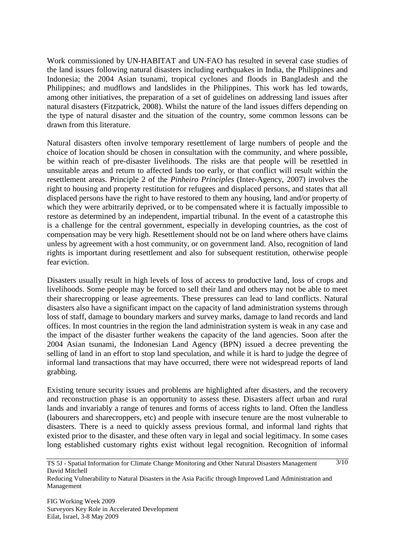Work commissioned by UN-HABITAT and UN-FAO has resulted in several case studies of the land issues following natural disasters including earthquakes in India, the Philippines and Indonesia; the 2004 Asian tsunami, tropical cyclones and floods in Bangladesh and the Philippines; and mudflows and landslides in the Philippines. This work has led towards, among other initiatives, the preparation of a set of guidelines on addressing land issues after natural disasters (Fitzpatrick, 2008). Whilst the nature of the land issues differs depending on the type of natural disaster and the situation of the country, some common lessons can be drawn from this literature.

Natural disasters often involve temporary resettlement of large numbers of people and the choice of location should be chosen in consultation with the community, and where possible, be within reach of pre-disaster livelihoods. The risks are that people will be resettled in unsuitable areas and return to affected lands too early, or that conflict will result within the resettlement areas. Principle 2 of the *Pinheiro Principles* (Inter-Agency, 2007) involves the right to housing and property restitution for refugees and displaced persons, and states that all displaced persons have the right to have restored to them any housing, land and/or property of which they were arbitrarily deprived, or to be compensated where it is factually impossible to restore as determined by an independent, impartial tribunal. In the event of a catastrophe this is a challenge for the central government, especially in developing countries, as the cost of compensation may be very high. Resettlement should not be on land where others have claims unless by agreement with a host community, or on government land. Also, recognition of land rights is important during resettlement and also for subsequent restitution, otherwise people fear eviction.

Disasters usually result in high levels of loss of access to productive land, loss of crops and livelihoods. Some people may be forced to sell their land and others may not be able to meet their sharecropping or lease agreements. These pressures can lead to land conflicts. Natural disasters also have a significant impact on the capacity of land administration systems through loss of staff, damage to boundary markers and survey marks, damage to land records and land offices. In most countries in the region the land administration system is weak in any case and the impact of the disaster further weakens the capacity of the land agencies. Soon after the 2004 Asian tsunami, the Indonesian Land Agency (BPN) issued a decree preventing the selling of land in an effort to stop land speculation, and while it is hard to judge the degree of informal land transactions that may have occurred, there were not widespread reports of land grabbing.

Existing tenure security issues and problems are highlighted after disasters, and the recovery and reconstruction phase is an opportunity to assess these. Disasters affect urban and rural lands and invariably a range of tenures and forms of access rights to land. Often the landless (labourers and sharecroppers, etc) and people with insecure tenure are the most vulnerable to disasters. There is a need to quickly assess previous formal, and informal land rights that existed prior to the disaster, and these often vary in legal and social legitimacy. In some cases long established customary rights exist without legal recognition. Recognition of informal

TS 5J - Spatial Information for Climate Change Monitoring and Other Natural Disasters Management David Mitchell  $\frac{3}{10}$ 

Reducing Vulnerability to Natural Disasters in the Asia Pacific through Improved Land Administration and Management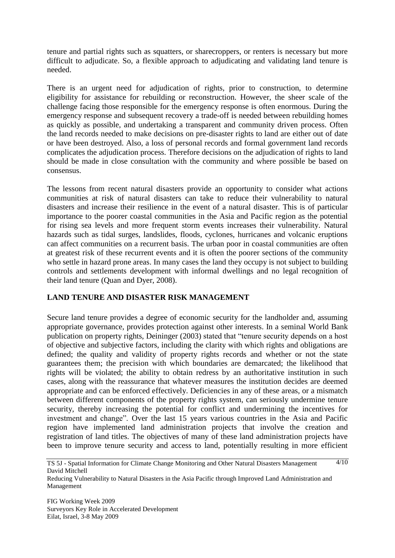tenure and partial rights such as squatters, or sharecroppers, or renters is necessary but more difficult to adjudicate. So, a flexible approach to adjudicating and validating land tenure is needed.

There is an urgent need for adjudication of rights, prior to construction, to determine eligibility for assistance for rebuilding or reconstruction. However, the sheer scale of the challenge facing those responsible for the emergency response is often enormous. During the emergency response and subsequent recovery a trade-off is needed between rebuilding homes as quickly as possible, and undertaking a transparent and community driven process. Often the land records needed to make decisions on pre-disaster rights to land are either out of date or have been destroyed. Also, a loss of personal records and formal government land records complicates the adjudication process. Therefore decisions on the adjudication of rights to land should be made in close consultation with the community and where possible be based on consensus.

The lessons from recent natural disasters provide an opportunity to consider what actions communities at risk of natural disasters can take to reduce their vulnerability to natural disasters and increase their resilience in the event of a natural disaster. This is of particular importance to the poorer coastal communities in the Asia and Pacific region as the potential for rising sea levels and more frequent storm events increases their vulnerability. Natural hazards such as tidal surges, landslides, floods, cyclones, hurricanes and volcanic eruptions can affect communities on a recurrent basis. The urban poor in coastal communities are often at greatest risk of these recurrent events and it is often the poorer sections of the community who settle in hazard prone areas. In many cases the land they occupy is not subject to building controls and settlements development with informal dwellings and no legal recognition of their land tenure (Quan and Dyer, 2008).

# **LAND TENURE AND DISASTER RISK MANAGEMENT**

Secure land tenure provides a degree of economic security for the landholder and, assuming appropriate governance, provides protection against other interests. In a seminal World Bank publication on property rights, Deininger (2003) stated that "tenure security depends on a host of objective and subjective factors, including the clarity with which rights and obligations are defined; the quality and validity of property rights records and whether or not the state guarantees them; the precision with which boundaries are demarcated; the likelihood that rights will be violated; the ability to obtain redress by an authoritative institution in such cases, along with the reassurance that whatever measures the institution decides are deemed appropriate and can be enforced effectively. Deficiencies in any of these areas, or a mismatch between different components of the property rights system, can seriously undermine tenure security, thereby increasing the potential for conflict and undermining the incentives for investment and change". Over the last 15 years various countries in the Asia and Pacific region have implemented land administration projects that involve the creation and registration of land titles. The objectives of many of these land administration projects have been to improve tenure security and access to land, potentially resulting in more efficient

TS 5J - Spatial Information for Climate Change Monitoring and Other Natural Disasters Management David Mitchell  $4/10$ 

Reducing Vulnerability to Natural Disasters in the Asia Pacific through Improved Land Administration and Management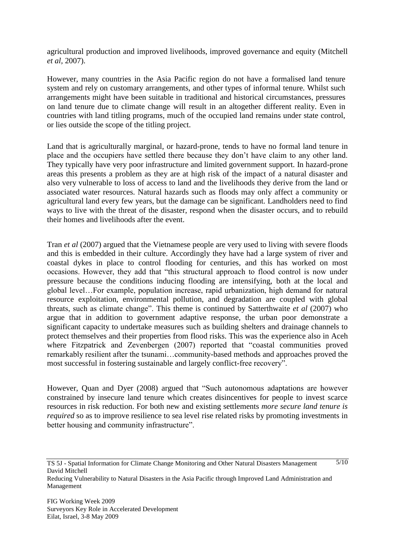agricultural production and improved livelihoods, improved governance and equity (Mitchell *et al,* 2007).

However, many countries in the Asia Pacific region do not have a formalised land tenure system and rely on customary arrangements, and other types of informal tenure. Whilst such arrangements might have been suitable in traditional and historical circumstances, pressures on land tenure due to climate change will result in an altogether different reality. Even in countries with land titling programs, much of the occupied land remains under state control, or lies outside the scope of the titling project.

Land that is agriculturally marginal, or hazard-prone, tends to have no formal land tenure in place and the occupiers have settled there because they don"t have claim to any other land. They typically have very poor infrastructure and limited government support. In hazard-prone areas this presents a problem as they are at high risk of the impact of a natural disaster and also very vulnerable to loss of access to land and the livelihoods they derive from the land or associated water resources. Natural hazards such as floods may only affect a community or agricultural land every few years, but the damage can be significant. Landholders need to find ways to live with the threat of the disaster, respond when the disaster occurs, and to rebuild their homes and livelihoods after the event.

Tran *et al* (2007) argued that the Vietnamese people are very used to living with severe floods and this is embedded in their culture. Accordingly they have had a large system of river and coastal dykes in place to control flooding for centuries, and this has worked on most occasions. However, they add that "this structural approach to flood control is now under pressure because the conditions inducing flooding are intensifying, both at the local and global level…For example, population increase, rapid urbanization, high demand for natural resource exploitation, environmental pollution, and degradation are coupled with global threats, such as climate change". This theme is continued by Satterthwaite *et al* (2007) who argue that in addition to government adaptive response, the urban poor demonstrate a significant capacity to undertake measures such as building shelters and drainage channels to protect themselves and their properties from flood risks. This was the experience also in Aceh where Fitzpatrick and Zevenbergen (2007) reported that "coastal communities proved remarkably resilient after the tsunami…community-based methods and approaches proved the most successful in fostering sustainable and largely conflict-free recovery".

However, Quan and Dyer (2008) argued that "Such autonomous adaptations are however constrained by insecure land tenure which creates disincentives for people to invest scarce resources in risk reduction. For both new and existing settlements *more secure land tenure is required* so as to improve resilience to sea level rise related risks by promoting investments in better housing and community infrastructure".

 $\frac{5}{10}$ 

TS 5J - Spatial Information for Climate Change Monitoring and Other Natural Disasters Management David Mitchell

Reducing Vulnerability to Natural Disasters in the Asia Pacific through Improved Land Administration and Management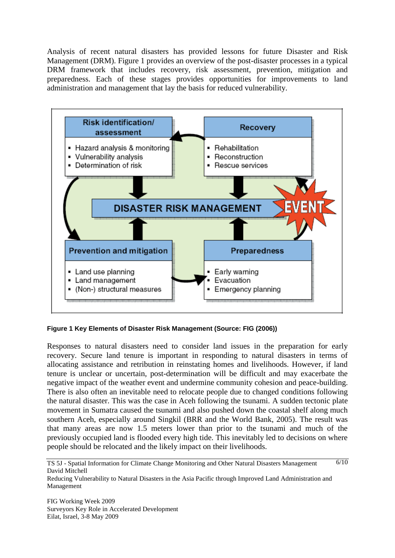Analysis of recent natural disasters has provided lessons for future Disaster and Risk Management (DRM). Figure 1 provides an overview of the post-disaster processes in a typical DRM framework that includes recovery, risk assessment, prevention, mitigation and preparedness. Each of these stages provides opportunities for improvements to land administration and management that lay the basis for reduced vulnerability.



**Figure 1 Key Elements of Disaster Risk Management (Source: FIG (2006))**

Responses to natural disasters need to consider land issues in the preparation for early recovery. Secure land tenure is important in responding to natural disasters in terms of allocating assistance and retribution in reinstating homes and livelihoods. However, if land tenure is unclear or uncertain, post-determination will be difficult and may exacerbate the negative impact of the weather event and undermine community cohesion and peace-building. There is also often an inevitable need to relocate people due to changed conditions following the natural disaster. This was the case in Aceh following the tsunami. A sudden tectonic plate movement in Sumatra caused the tsunami and also pushed down the coastal shelf along much southern Aceh, especially around Singkil (BRR and the World Bank, 2005). The result was that many areas are now 1.5 meters lower than prior to the tsunami and much of the previously occupied land is flooded every high tide. This inevitably led to decisions on where people should be relocated and the likely impact on their livelihoods.

TS 5J - Spatial Information for Climate Change Monitoring and Other Natural Disasters Management David Mitchell  $6/10$ 

Reducing Vulnerability to Natural Disasters in the Asia Pacific through Improved Land Administration and Management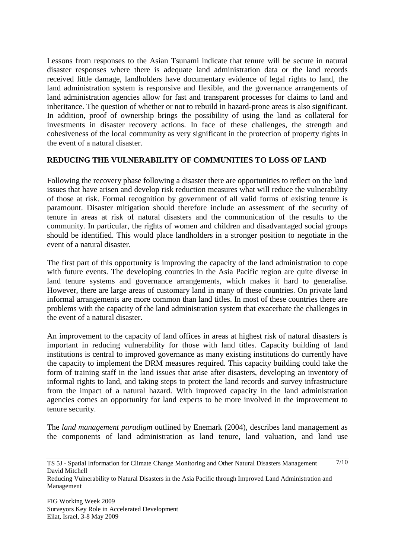Lessons from responses to the Asian Tsunami indicate that tenure will be secure in natural disaster responses where there is adequate land administration data or the land records received little damage, landholders have documentary evidence of legal rights to land, the land administration system is responsive and flexible, and the governance arrangements of land administration agencies allow for fast and transparent processes for claims to land and inheritance. The question of whether or not to rebuild in hazard-prone areas is also significant. In addition, proof of ownership brings the possibility of using the land as collateral for investments in disaster recovery actions. In face of these challenges, the strength and cohesiveness of the local community as very significant in the protection of property rights in the event of a natural disaster.

# **REDUCING THE VULNERABILITY OF COMMUNITIES TO LOSS OF LAND**

Following the recovery phase following a disaster there are opportunities to reflect on the land issues that have arisen and develop risk reduction measures what will reduce the vulnerability of those at risk. Formal recognition by government of all valid forms of existing tenure is paramount. Disaster mitigation should therefore include an assessment of the security of tenure in areas at risk of natural disasters and the communication of the results to the community. In particular, the rights of women and children and disadvantaged social groups should be identified. This would place landholders in a stronger position to negotiate in the event of a natural disaster.

The first part of this opportunity is improving the capacity of the land administration to cope with future events. The developing countries in the Asia Pacific region are quite diverse in land tenure systems and governance arrangements, which makes it hard to generalise. However, there are large areas of customary land in many of these countries. On private land informal arrangements are more common than land titles. In most of these countries there are problems with the capacity of the land administration system that exacerbate the challenges in the event of a natural disaster.

An improvement to the capacity of land offices in areas at highest risk of natural disasters is important in reducing vulnerability for those with land titles. Capacity building of land institutions is central to improved governance as many existing institutions do currently have the capacity to implement the DRM measures required. This capacity building could take the form of training staff in the land issues that arise after disasters, developing an inventory of informal rights to land, and taking steps to protect the land records and survey infrastructure from the impact of a natural hazard. With improved capacity in the land administration agencies comes an opportunity for land experts to be more involved in the improvement to tenure security.

The *land management paradigm* outlined by Enemark (2004), describes land management as the components of land administration as land tenure, land valuation, and land use

Reducing Vulnerability to Natural Disasters in the Asia Pacific through Improved Land Administration and Management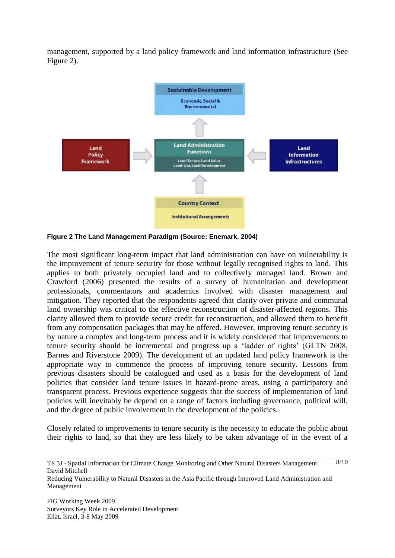management, supported by a land policy framework and land information infrastructure (See Figure 2).



**Figure 2 The Land Management Paradigm (Source: Enemark, 2004)**

The most significant long-term impact that land administration can have on vulnerability is the improvement of tenure security for those without legally recognised rights to land. This applies to both privately occupied land and to collectively managed land. Brown and Crawford (2006) presented the results of a survey of humanitarian and development professionals, commentators and academics involved with disaster management and mitigation. They reported that the respondents agreed that clarity over private and communal land ownership was critical to the effective reconstruction of disaster-affected regions. This clarity allowed them to provide secure credit for reconstruction, and allowed them to benefit from any compensation packages that may be offered. However, improving tenure security is by nature a complex and long-term process and it is widely considered that improvements to tenure security should be incremental and progress up a "ladder of rights" (GLTN 2008, Barnes and Riverstone 2009). The development of an updated land policy framework is the appropriate way to commence the process of improving tenure security. Lessons from previous disasters should be catalogued and used as a basis for the development of land policies that consider land tenure issues in hazard-prone areas, using a participatory and transparent process. Previous experience suggests that the success of implementation of land policies will inevitably be depend on a range of factors including governance, political will, and the degree of public involvement in the development of the policies.

Closely related to improvements to tenure security is the necessity to educate the public about their rights to land, so that they are less likely to be taken advantage of in the event of a

TS 5J - Spatial Information for Climate Change Monitoring and Other Natural Disasters Management David Mitchell  $8/10$ 

Reducing Vulnerability to Natural Disasters in the Asia Pacific through Improved Land Administration and Management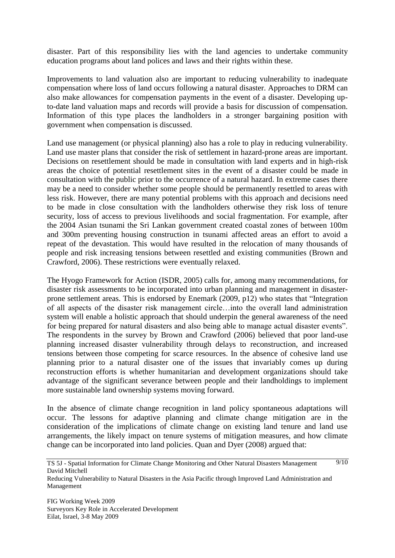disaster. Part of this responsibility lies with the land agencies to undertake community education programs about land polices and laws and their rights within these.

Improvements to land valuation also are important to reducing vulnerability to inadequate compensation where loss of land occurs following a natural disaster. Approaches to DRM can also make allowances for compensation payments in the event of a disaster. Developing upto-date land valuation maps and records will provide a basis for discussion of compensation. Information of this type places the landholders in a stronger bargaining position with government when compensation is discussed.

Land use management (or physical planning) also has a role to play in reducing vulnerability. Land use master plans that consider the risk of settlement in hazard-prone areas are important. Decisions on resettlement should be made in consultation with land experts and in high-risk areas the choice of potential resettlement sites in the event of a disaster could be made in consultation with the public prior to the occurrence of a natural hazard. In extreme cases there may be a need to consider whether some people should be permanently resettled to areas with less risk. However, there are many potential problems with this approach and decisions need to be made in close consultation with the landholders otherwise they risk loss of tenure security, loss of access to previous livelihoods and social fragmentation. For example, after the 2004 Asian tsunami the Sri Lankan government created coastal zones of between 100m and 300m preventing housing construction in tsunami affected areas an effort to avoid a repeat of the devastation. This would have resulted in the relocation of many thousands of people and risk increasing tensions between resettled and existing communities (Brown and Crawford, 2006). These restrictions were eventually relaxed.

The Hyogo Framework for Action (ISDR, 2005) calls for, among many recommendations, for disaster risk assessments to be incorporated into urban planning and management in disasterprone settlement areas. This is endorsed by Enemark (2009, p12) who states that "Integration of all aspects of the disaster risk management circle…into the overall land administration system will enable a holistic approach that should underpin the general awareness of the need for being prepared for natural disasters and also being able to manage actual disaster events". The respondents in the survey by Brown and Crawford (2006) believed that poor land-use planning increased disaster vulnerability through delays to reconstruction, and increased tensions between those competing for scarce resources. In the absence of cohesive land use planning prior to a natural disaster one of the issues that invariably comes up during reconstruction efforts is whether humanitarian and development organizations should take advantage of the significant severance between people and their landholdings to implement more sustainable land ownership systems moving forward.

In the absence of climate change recognition in land policy spontaneous adaptations will occur. The lessons for adaptive planning and climate change mitigation are in the consideration of the implications of climate change on existing land tenure and land use arrangements, the likely impact on tenure systems of mitigation measures, and how climate change can be incorporated into land policies. Quan and Dyer (2008) argued that:

TS 5J - Spatial Information for Climate Change Monitoring and Other Natural Disasters Management David Mitchell  $9/10$ 

Reducing Vulnerability to Natural Disasters in the Asia Pacific through Improved Land Administration and Management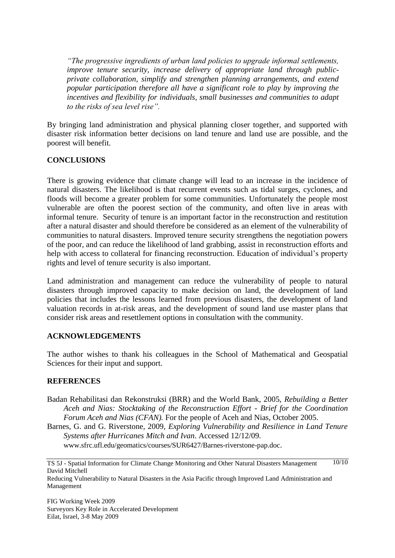*"The progressive ingredients of urban land policies to upgrade informal settlements, improve tenure security, increase delivery of appropriate land through publicprivate collaboration, simplify and strengthen planning arrangements, and extend popular participation therefore all have a significant role to play by improving the incentives and flexibility for individuals, small businesses and communities to adapt to the risks of sea level rise".*

By bringing land administration and physical planning closer together, and supported with disaster risk information better decisions on land tenure and land use are possible, and the poorest will benefit.

# **CONCLUSIONS**

There is growing evidence that climate change will lead to an increase in the incidence of natural disasters. The likelihood is that recurrent events such as tidal surges, cyclones, and floods will become a greater problem for some communities. Unfortunately the people most vulnerable are often the poorest section of the community, and often live in areas with informal tenure. Security of tenure is an important factor in the reconstruction and restitution after a natural disaster and should therefore be considered as an element of the vulnerability of communities to natural disasters. Improved tenure security strengthens the negotiation powers of the poor, and can reduce the likelihood of land grabbing, assist in reconstruction efforts and help with access to collateral for financing reconstruction. Education of individual's property rights and level of tenure security is also important.

Land administration and management can reduce the vulnerability of people to natural disasters through improved capacity to make decision on land, the development of land policies that includes the lessons learned from previous disasters, the development of land valuation records in at-risk areas, and the development of sound land use master plans that consider risk areas and resettlement options in consultation with the community.

#### **ACKNOWLEDGEMENTS**

The author wishes to thank his colleagues in the School of Mathematical and Geospatial Sciences for their input and support.

#### **REFERENCES**

- Badan Rehabilitasi dan Rekonstruksi (BRR) and the World Bank, 2005, *Rebuilding a Better Aceh and Nias: Stocktaking of the Reconstruction Effort - Brief for the Coordination Forum Aceh and Nias (CFAN).* For the people of Aceh and Nias, October 2005.
- Barnes, G. and G. Riverstone, 2009, *Exploring Vulnerability and Resilience in Land Tenure Systems after Hurricanes Mitch and Ivan*. Accessed 12/12/09.

[www.sfrc.ufl.edu/geomatics/courses/SUR6427/Barnes-riverstone-pap.doc](http://www.sfrc.ufl.edu/geomatics/courses/SUR6427/Barnes-riverstone-pap.doc).

TS 5J - Spatial Information for Climate Change Monitoring and Other Natural Disasters Management David Mitchell  $10/10$ 

Reducing Vulnerability to Natural Disasters in the Asia Pacific through Improved Land Administration and Management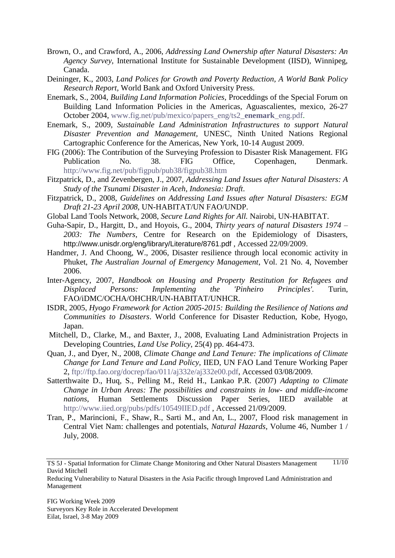- Brown, O., and Crawford, A., 2006, *Addressing Land Ownership after Natural Disasters: An Agency Survey*, International Institute for Sustainable Development (IISD), Winnipeg, Canada.
- Deininger, K., 2003, *Land Polices for Growth and Poverty Reduction, A World Bank Policy Research Report,* World Bank and Oxford University Press.
- Enemark, S., 2004, *Building Land Information Policies,* Proceddings of the Special Forum on Building Land Information Policies in the Americas, Aguascalientes, mexico, 26-27 October 2004, [www.fig.net/pub/mexico/papers\\_eng/ts2\\_](http://www.fig.net/pub/mexico/papers_eng/ts2_enemark_eng.pdf)**enemark**\_eng.pdf.
- Enemark, S., 2009, *Sustainable Land Administration Infrastructures to support Natural Disaster Prevention and Management,* UNESC, Ninth United Nations Regional Cartographic Conference for the Americas, New York, 10-14 August 2009.
- FIG (2006): The Contribution of the Surveying Profession to Disaster Risk Management. FIG Publication No. 38. FIG Office, Copenhagen, Denmark. <http://www.fig.net/pub/figpub/pub38/figpub38.htm>
- Fitzpatrick, D., and Zevenbergen, J., 2007, *Addressing Land Issues after Natural Disasters: A Study of the Tsunami Disaster in Aceh, Indonesia: Draft*.
- Fitzpatrick, D., 2008, *Guidelines on Addressing Land Issues after Natural Disasters: EGM Draft 21-23 April 2008*, UN-HABITAT/UN FAO/UNDP.
- Global Land Tools Network, 2008, *Secure Land Rights for All.* Nairobi, UN-HABITAT.
- Guha-Sapir, D., Hargitt, D., and Hoyois, G., 2004, *Thirty years of natural Disasters 1974 – 2003: The Numbers*, Centre for Research on the Epidemiology of Disasters, <http://www.unisdr.org/eng/library/Literature/8761.pdf> , Accessed 22/09/2009.
- Handmer, J. And Choong, W., 2006, Disaster resilience through local economic activity in Phuket, *The Australian Journal of Emergency Management*, Vol. 21 No. 4, November 2006.
- Inter-Agency, 2007, *Handbook on Housing and Property Restitution for Refugees and Displaced Persons: Implementing the 'Pinheiro Principles'.* Turin, FAO/iDMC/OCHA/OHCHR/UN-HABITAT/UNHCR.
- ISDR, 2005, *Hyogo Framework for Action 2005-2015: Building the Resilience of Nations and Communities to Disasters*. World Conference for Disaster Reduction, Kobe, Hyogo, Japan.
- Mitchell, D., Clarke, M., and Baxter, J., 2008, Evaluating Land Administration Projects in Developing Countries, *Land Use Policy*, 25(4) pp. 464-473.
- Quan, J., and Dyer, N., 2008, *Climate Change and Land Tenure: The implications of Climate Change for Land Tenure and Land Policy,* IIED, UN FAO Land Tenure Working Paper 2, [ftp://ftp.fao.org/docrep/fao/011/aj332e/aj332e00.pdf,](ftp://ftp.fao.org/docrep/fao/011/aj332e/aj332e00.pdf) Accessed 03/08/2009.
- Satterthwaite D., Huq, S., Pelling M., Reid H., Lankao P.R. (2007) *Adapting to Climate Change in Urban Areas: The possibilities and constraints in low- and middle-income nations*, Human Settlements Discussion Paper Series, IIED available at <http://www.iied.org/pubs/pdfs/10549IIED.pdf> , Accessed 21/09/2009.
- Tran, P., Marincioni, F., Shaw, R., Sarti M., and An, L., 2007, Flood risk management in Central Viet Nam: challenges and potentials, *Natural Hazards*, [Volume 46, Number 1 /](http://www.springerlink.com/content/vqg63474r211/?p=26158b5062ea4bdfb935f9c93ca66463&pi=0)  [July, 2008.](http://www.springerlink.com/content/vqg63474r211/?p=26158b5062ea4bdfb935f9c93ca66463&pi=0)

TS 5J - Spatial Information for Climate Change Monitoring and Other Natural Disasters Management David Mitchell  $11/10$ 

Reducing Vulnerability to Natural Disasters in the Asia Pacific through Improved Land Administration and Management